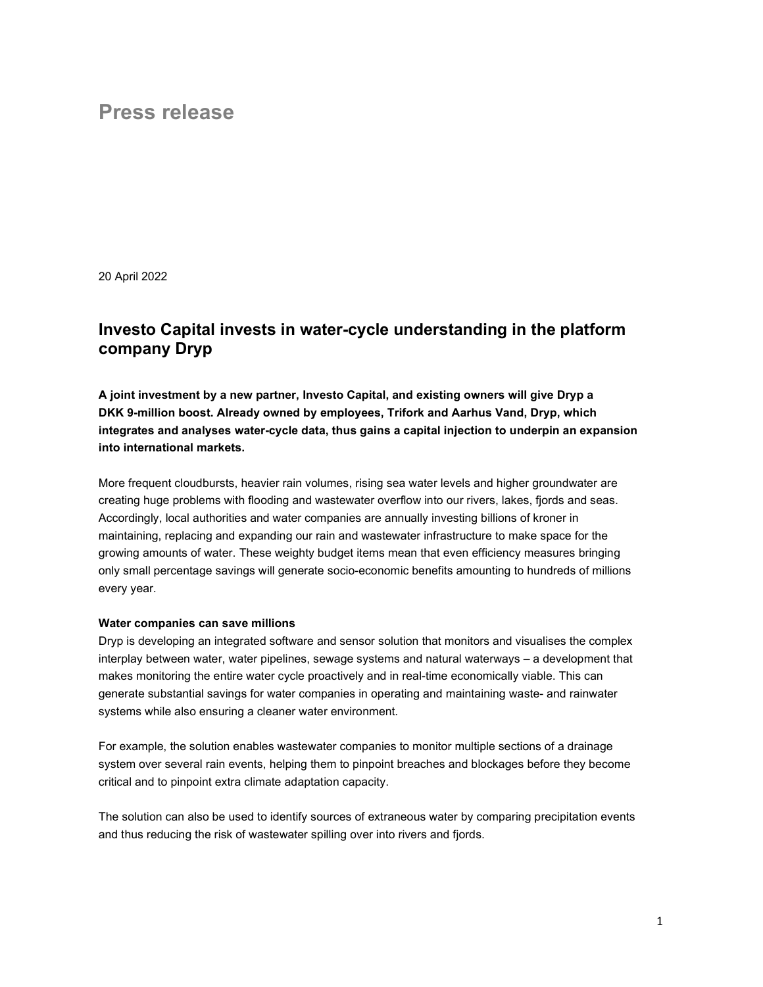# Press release

20 April 2022

# Investo Capital invests in water-cycle understanding in the platform company Dryp

A joint investment by a new partner, Investo Capital, and existing owners will give Dryp a DKK 9-million boost. Already owned by employees, Trifork and Aarhus Vand, Dryp, which integrates and analyses water-cycle data, thus gains a capital injection to underpin an expansion into international markets.

More frequent cloudbursts, heavier rain volumes, rising sea water levels and higher groundwater are creating huge problems with flooding and wastewater overflow into our rivers, lakes, fjords and seas. Accordingly, local authorities and water companies are annually investing billions of kroner in maintaining, replacing and expanding our rain and wastewater infrastructure to make space for the growing amounts of water. These weighty budget items mean that even efficiency measures bringing only small percentage savings will generate socio-economic benefits amounting to hundreds of millions every year.

#### Water companies can save millions

Dryp is developing an integrated software and sensor solution that monitors and visualises the complex interplay between water, water pipelines, sewage systems and natural waterways – a development that makes monitoring the entire water cycle proactively and in real-time economically viable. This can generate substantial savings for water companies in operating and maintaining waste- and rainwater systems while also ensuring a cleaner water environment.

For example, the solution enables wastewater companies to monitor multiple sections of a drainage system over several rain events, helping them to pinpoint breaches and blockages before they become critical and to pinpoint extra climate adaptation capacity.

The solution can also be used to identify sources of extraneous water by comparing precipitation events and thus reducing the risk of wastewater spilling over into rivers and fjords.